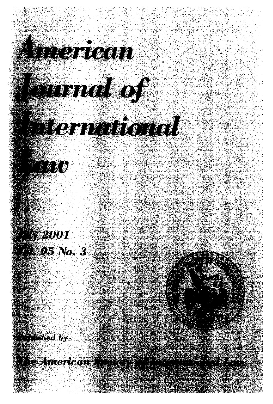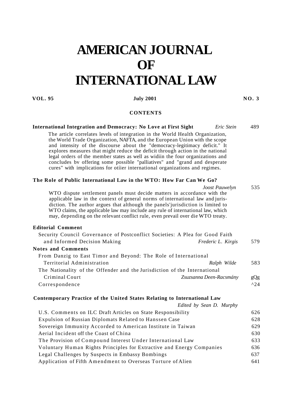## **AMERICAN JOURNAL OF INTERNATIONAL LAW**

## **VOL. 95 IULY 2001 IULY 2001 NO. 3**

## **CONTENTS**

**International Integration and Democracy: No Love at First Sight** *Eric Stein* 489

| The article correlates levels of integration in the World Health Organization,<br>the World Trade Organization, NAFTA, and the European Union with the scope<br>and intensity of the discourse about the "democracy-legitimacy deficit." It<br>explores measures that might reduce the deficit through action in the national<br>legal orders of the member states as well as widiin the four organizations and<br>concludes by offering some possible "palliatives" and "grand and desperate<br>cures" with implications for otiier international organizations and regimes. |               |
|-------------------------------------------------------------------------------------------------------------------------------------------------------------------------------------------------------------------------------------------------------------------------------------------------------------------------------------------------------------------------------------------------------------------------------------------------------------------------------------------------------------------------------------------------------------------------------|---------------|
| The Role of Public International Law in the WTO: How Far Can We Go?                                                                                                                                                                                                                                                                                                                                                                                                                                                                                                           |               |
| Joost Pauwelyn<br>WTO dispute settlement panels must decide matters in accordance with the<br>applicable law in the context of general norms of international law and juris-<br>diction. The author argues that although the panels' jurisdiction is limited to<br>WTO claims, the applicable law may include any rule of international law, which<br>may, depending on the relevant conflict rule, even prevail over die WTO treaty.                                                                                                                                         | 535           |
| <b>Editorial Comment</b>                                                                                                                                                                                                                                                                                                                                                                                                                                                                                                                                                      |               |
| Security Council Governance of Postconflict Societies: A Plea for Good Faith                                                                                                                                                                                                                                                                                                                                                                                                                                                                                                  |               |
| and Informed Decision Making<br>Frederic L. Kirgis                                                                                                                                                                                                                                                                                                                                                                                                                                                                                                                            | 579           |
| <b>Notes and Comments</b>                                                                                                                                                                                                                                                                                                                                                                                                                                                                                                                                                     |               |
| From Danzig to East Timor and Beyond: The Role of International                                                                                                                                                                                                                                                                                                                                                                                                                                                                                                               |               |
| Territorial Administration<br>Ralph Wilde                                                                                                                                                                                                                                                                                                                                                                                                                                                                                                                                     | 583           |
| The Nationality of the Offender and the Jurisdiction of the International                                                                                                                                                                                                                                                                                                                                                                                                                                                                                                     |               |
| Criminal Court<br>Zsuzsanna Deen-Racsmány                                                                                                                                                                                                                                                                                                                                                                                                                                                                                                                                     | gQg           |
| Correspondence                                                                                                                                                                                                                                                                                                                                                                                                                                                                                                                                                                | $^{\wedge}24$ |
| Contemporary Practice of the United States Relating to International Law                                                                                                                                                                                                                                                                                                                                                                                                                                                                                                      |               |
| Edited by Sean D. Murphy                                                                                                                                                                                                                                                                                                                                                                                                                                                                                                                                                      |               |
| U.S. Comments on ILC Draft Articles on State Responsibility                                                                                                                                                                                                                                                                                                                                                                                                                                                                                                                   | 626           |
| Expulsion of Russian Diplomats Related to Hanssen Case                                                                                                                                                                                                                                                                                                                                                                                                                                                                                                                        | 628           |
| Sovereign Immunity Accorded to American Institute in Taiwan                                                                                                                                                                                                                                                                                                                                                                                                                                                                                                                   | 629           |
| Aerial Incident off the Coast of China                                                                                                                                                                                                                                                                                                                                                                                                                                                                                                                                        | 630           |
| The Provision of Compound Interest Under International Law                                                                                                                                                                                                                                                                                                                                                                                                                                                                                                                    | 633           |
| Voluntary Human Rights Principles for Extractive and Energy Companies                                                                                                                                                                                                                                                                                                                                                                                                                                                                                                         | 636           |
| Legal Challenges by Suspects in Embassy Bombings                                                                                                                                                                                                                                                                                                                                                                                                                                                                                                                              | 637           |
| Application of Fifth Amendment to Overseas Torture of Alien                                                                                                                                                                                                                                                                                                                                                                                                                                                                                                                   | 641           |